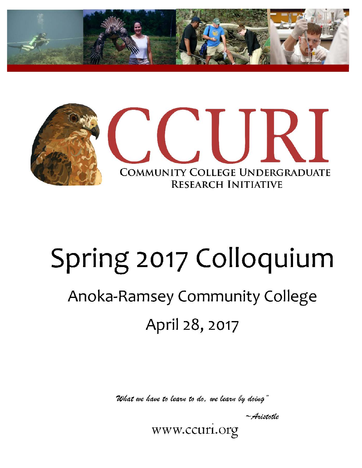



# Spring 2017 Colloquium

# Anoka-Ramsey Community College April 28, 2017

What we have to learn to do. we learn by doing"

 $\sim$  Aristotle

www.ccuri.org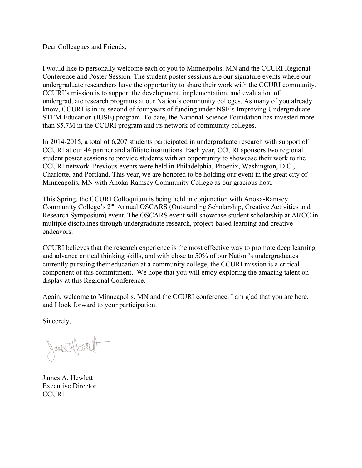Dear Colleagues and Friends,

I would like to personally welcome each of you to Minneapolis, MN and the CCURI Regional Conference and Poster Session. The student poster sessions are our signature events where our undergraduate researchers have the opportunity to share their work with the CCURI community. CCURI's mission is to support the development, implementation, and evaluation of undergraduate research programs at our Nation's community colleges. As many of you already know, CCURI is in its second of four years of funding under NSF's Improving Undergraduate STEM Education (IUSE) program. To date, the National Science Foundation has invested more than \$5.7M in the CCURI program and its network of community colleges.

In 2014-2015, a total of 6,207 students participated in undergraduate research with support of CCURI at our 44 partner and affiliate institutions. Each year, CCURI sponsors two regional student poster sessions to provide students with an opportunity to showcase their work to the CCURI network. Previous events were held in Philadelphia, Phoenix, Washington, D.C., Charlotte, and Portland. This year, we are honored to be holding our event in the great city of Minneapolis, MN with Anoka-Ramsey Community College as our gracious host.

This Spring, the CCURI Colloquium is being held in conjunction with Anoka-Ramsey Community College's 2nd Annual OSCARS (Outstanding Scholarship, Creative Activities and Research Symposium) event. The OSCARS event will showcase student scholarship at ARCC in multiple disciplines through undergraduate research, project-based learning and creative endeavors.

CCURI believes that the research experience is the most effective way to promote deep learning and advance critical thinking skills, and with close to 50% of our Nation's undergraduates currently pursuing their education at a community college, the CCURI mission is a critical component of this commitment. We hope that you will enjoy exploring the amazing talent on display at this Regional Conference.

Again, welcome to Minneapolis, MN and the CCURI conference. I am glad that you are here, and I look forward to your participation.

Sincerely,

Jane Offente

James A. Hewlett Executive Director **CCURI**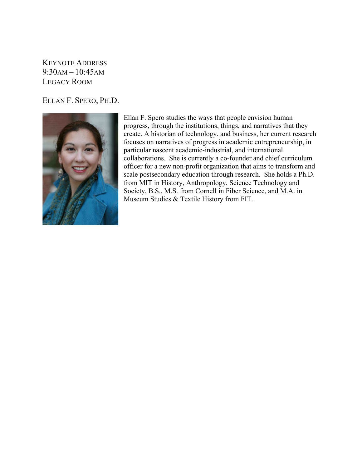KEYNOTE ADDRESS 9:30AM – 10:45AM LEGACY ROOM

ELLAN F. SPERO, PH.D.



Ellan F. Spero studies the ways that people envision human progress, through the institutions, things, and narratives that they create. A historian of technology, and business, her current research focuses on narratives of progress in academic entrepreneurship, in particular nascent academic-industrial, and international collaborations. She is currently a co-founder and chief curriculum officer for a new non-profit organization that aims to transform and scale postsecondary education through research. She holds a Ph.D. from MIT in History, Anthropology, Science Technology and Society, B.S., M.S. from Cornell in Fiber Science, and M.A. in Museum Studies & Textile History from FIT.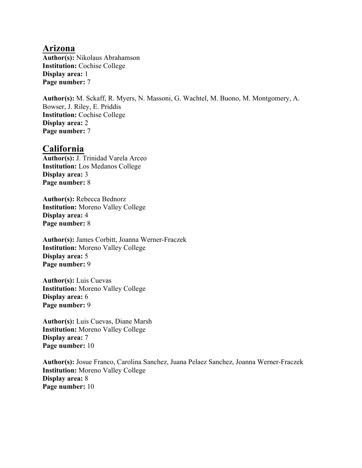#### **Arizona**

**Author(s):** Nikolaus Abrahamson **Institution:** Cochise College **Display area:** 1 **Page number:** 7

**Author(s):** M. Sckaff, R. Myers, N. Massoni, G. Wachtel, M. Buono, M. Montgomery, A. Bowser, J. Riley, E. Priddis **Institution:** Cochise College **Display area:** 2 **Page number:** 7

#### **California**

**Author(s):** J. Trinidad Varela Arceo **Institution:** Los Medanos College **Display area:** 3 **Page number:** 8

**Author(s):** Rebecca Bednorz **Institution:** Moreno Valley College **Display area:** 4 **Page number:** 8

**Author(s):** James Corbitt, Joanna Werner-Fraczek **Institution:** Moreno Valley College **Display area:** 5 **Page number:** 9

**Author(s):** Luis Cuevas **Institution:** Moreno Valley College **Display area:** 6 **Page number:** 9

**Author(s):** Luis Cuevas, Diane Marsh **Institution:** Moreno Valley College **Display area:** 7 **Page number:** 10

**Author(s):** Josue Franco, Carolina Sanchez, Juana Pelaez Sanchez, Joanna Werner-Fraczek **Institution:** Moreno Valley College **Display area:** 8 **Page number:** 10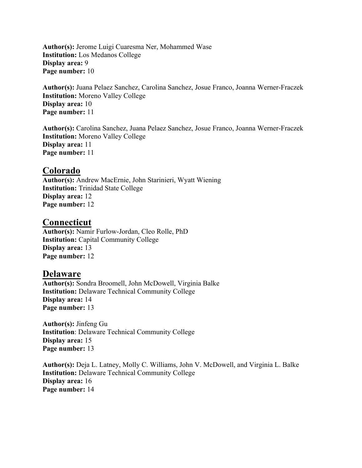**Author(s):** Jerome Luigi Cuaresma Ner, Mohammed Wase **Institution:** Los Medanos College **Display area:** 9 **Page number:** 10

**Author(s):** Juana Pelaez Sanchez, Carolina Sanchez, Josue Franco, Joanna Werner-Fraczek **Institution:** Moreno Valley College **Display area:** 10 **Page number:** 11

**Author(s):** Carolina Sanchez, Juana Pelaez Sanchez, Josue Franco, Joanna Werner-Fraczek **Institution:** Moreno Valley College **Display area:** 11 **Page number:** 11

#### **Colorado**

**Author(s):** Andrew MacErnie, John Starinieri, Wyatt Wiening **Institution:** Trinidad State College **Display area:** 12 **Page number:** 12

#### **Connecticut**

**Author(s):** Namir Furlow-Jordan, Cleo Rolle, PhD **Institution:** Capital Community College **Display area:** 13 **Page number:** 12

#### **Delaware**

**Author(s):** Sondra Broomell, John McDowell, Virginia Balke **Institution:** Delaware Technical Community College **Display area:** 14 **Page number:** 13

**Author(s):** Jinfeng Gu **Institution**: Delaware Technical Community College **Display area:** 15 **Page number:** 13

**Author(s):** Deja L. Latney, Molly C. Williams, John V. McDowell, and Virginia L. Balke **Institution:** Delaware Technical Community College **Display area:** 16 **Page number:** 14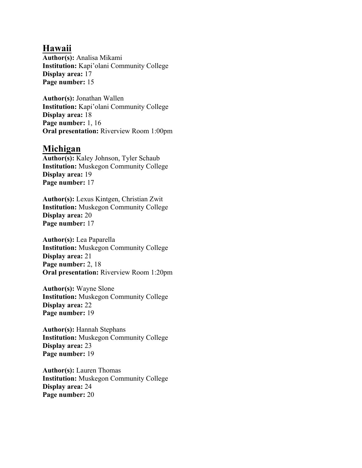#### **Hawaii**

**Author(s):** Analisa Mikami **Institution:** Kapi'olani Community College **Display area:** 17 **Page number:** 15

**Author(s):** Jonathan Wallen **Institution:** Kapi'olani Community College **Display area:** 18 **Page number:** 1, 16 **Oral presentation:** Riverview Room 1:00pm

#### **Michigan**

**Author(s):** Kaley Johnson, Tyler Schaub **Institution:** Muskegon Community College **Display area:** 19 **Page number:** 17

**Author(s):** Lexus Kintgen, Christian Zwit **Institution:** Muskegon Community College **Display area:** 20 **Page number:** 17

**Author(s):** Lea Paparella **Institution:** Muskegon Community College **Display area:** 21 **Page number:** 2, 18 **Oral presentation:** Riverview Room 1:20pm

**Author(s):** Wayne Slone **Institution:** Muskegon Community College **Display area:** 22 **Page number:** 19

**Author(s):** Hannah Stephans **Institution:** Muskegon Community College **Display area:** 23 **Page number:** 19

**Author(s):** Lauren Thomas **Institution:** Muskegon Community College **Display area:** 24 **Page number:** 20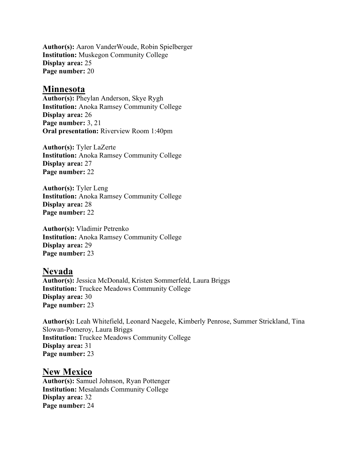**Author(s):** Aaron VanderWoude, Robin Spielberger **Institution:** Muskegon Community College **Display area:** 25 **Page number:** 20

#### **Minnesota**

**Author(s):** Pheylan Anderson, Skye Rygh **Institution:** Anoka Ramsey Community College **Display area:** 26 **Page number:** 3, 21 **Oral presentation:** Riverview Room 1:40pm

**Author(s):** Tyler LaZerte **Institution:** Anoka Ramsey Community College **Display area:** 27 **Page number:** 22

**Author(s):** Tyler Leng **Institution:** Anoka Ramsey Community College **Display area:** 28 **Page number:** 22

**Author(s):** Vladimir Petrenko **Institution:** Anoka Ramsey Community College **Display area:** 29 **Page number:** 23

#### **Nevada**

**Author(s):** Jessica McDonald, Kristen Sommerfeld, Laura Briggs **Institution:** Truckee Meadows Community College **Display area:** 30 **Page number:** 23

**Author(s):** Leah Whitefield, Leonard Naegele, Kimberly Penrose, Summer Strickland, Tina Slowan-Pomeroy, Laura Briggs **Institution:** Truckee Meadows Community College **Display area:** 31 **Page number:** 23

#### **New Mexico**

**Author(s):** Samuel Johnson, Ryan Pottenger **Institution:** Mesalands Community College **Display area:** 32 **Page number:** 24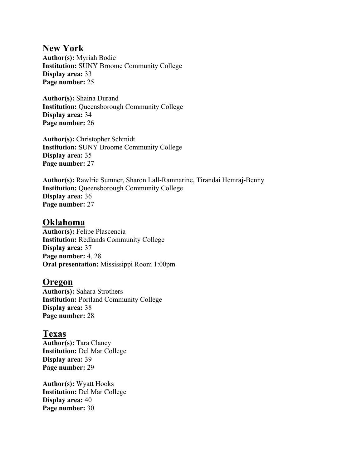# **New York**

**Author(s):** Myriah Bodie **Institution:** SUNY Broome Community College **Display area:** 33 **Page number:** 25

**Author(s):** Shaina Durand **Institution:** Queensborough Community College **Display area:** 34 **Page number:** 26

**Author(s):** Christopher Schmidt **Institution:** SUNY Broome Community College **Display area:** 35 **Page number:** 27

**Author(s):** Rawlric Sumner, Sharon Lall-Ramnarine, Tirandai Hemraj-Benny **Institution:** Queensborough Community College **Display area:** 36 **Page number:** 27

#### **Oklahoma**

**Author(s):** Felipe Plascencia **Institution:** Redlands Community College **Display area:** 37 **Page number:** 4, 28 **Oral presentation:** Mississippi Room 1:00pm

#### **Oregon**

**Author(s):** Sahara Strothers **Institution:** Portland Community College **Display area:** 38 **Page number:** 28

#### **Texas**

**Author(s):** Tara Clancy **Institution:** Del Mar College **Display area:** 39 **Page number:** 29

**Author(s):** Wyatt Hooks **Institution:** Del Mar College **Display area:** 40 **Page number:** 30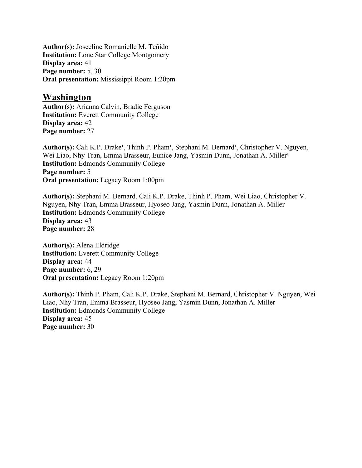**Author(s):** Josceline Romanielle M. Teñido **Institution:** Lone Star College Montgomery **Display area:** 41 **Page number:** 5, 30 **Oral presentation:** Mississippi Room 1:20pm

#### **Washington**

**Author(s):** Arianna Calvin, Bradie Ferguson **Institution:** Everett Community College **Display area:** 42 **Page number:** 27

Author(s): Cali K.P. Drake<sup>1</sup>, Thinh P. Pham<sup>1</sup>, Stephani M. Bernard<sup>1</sup>, Christopher V. Nguyen, Wei Liao, Nhy Tran, Emma Brasseur, Eunice Jang, Yasmin Dunn, Jonathan A. Miller<sup>1</sup> **Institution:** Edmonds Community College **Page number:** 5 **Oral presentation:** Legacy Room 1:00pm

**Author(s):** Stephani M. Bernard, Cali K.P. Drake, Thinh P. Pham, Wei Liao, Christopher V. Nguyen, Nhy Tran, Emma Brasseur, Hyoseo Jang, Yasmin Dunn, Jonathan A. Miller **Institution:** Edmonds Community College **Display area:** 43 **Page number:** 28

**Author(s):** Alena Eldridge **Institution:** Everett Community College **Display area:** 44 **Page number:** 6, 29 **Oral presentation:** Legacy Room 1:20pm

**Author(s):** Thinh P. Pham, Cali K.P. Drake, Stephani M. Bernard, Christopher V. Nguyen, Wei Liao, Nhy Tran, Emma Brasseur, Hyoseo Jang, Yasmin Dunn, Jonathan A. Miller **Institution:** Edmonds Community College **Display area:** 45 **Page number:** 30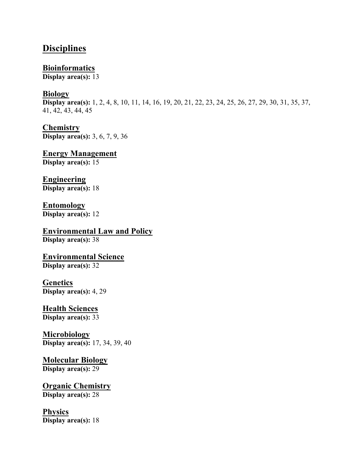### **Disciplines**

**Bioinformatics Display area(s):** 13

#### **Biology**

**Display area(s):** 1, 2, 4, 8, 10, 11, 14, 16, 19, 20, 21, 22, 23, 24, 25, 26, 27, 29, 30, 31, 35, 37, 41, 42, 43, 44, 45

**Chemistry Display area(s):** 3, 6, 7, 9, 36

**Energy Management Display area(s):** 15

**Engineering Display area(s):** 18

## **Entomology**

**Display area(s):** 12

**Environmental Law and Policy Display area(s):** 38

**Environmental Science Display area(s):** 32

**Genetics Display area(s):** 4, 29

**Health Sciences Display area(s):** 33

**Microbiology Display area(s):** 17, 34, 39, 40

#### **Molecular Biology Display area(s):** 29

**Organic Chemistry**

**Display area(s):** 28

#### **Physics Display area(s):** 18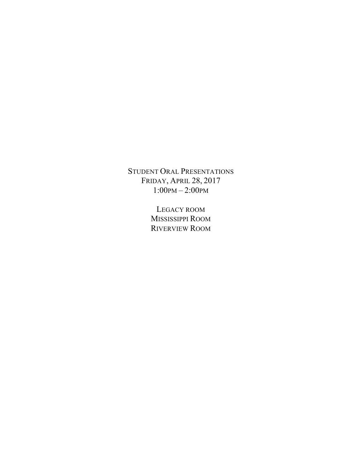STUDENT ORAL PRESENTATIONS FRIDAY, APRIL 28, 2017 1:00PM – 2:00PM

> LEGACY ROOM MISSISSIPPI ROOM RIVERVIEW ROOM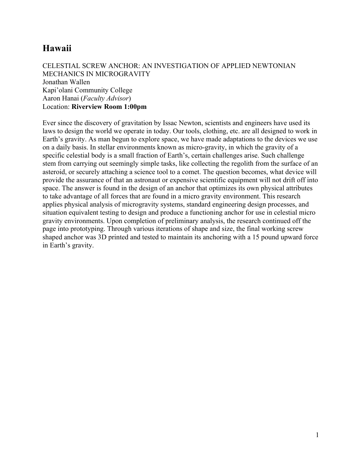# **Hawaii**

#### CELESTIAL SCREW ANCHOR: AN INVESTIGATION OF APPLIED NEWTONIAN MECHANICS IN MICROGRAVITY Jonathan Wallen Kapi'olani Community College Aaron Hanai (*Faculty Advisor*) Location: **Riverview Room 1:00pm**

Ever since the discovery of gravitation by Issac Newton, scientists and engineers have used its laws to design the world we operate in today. Our tools, clothing, etc. are all designed to work in Earth's gravity. As man begun to explore space, we have made adaptations to the devices we use on a daily basis. In stellar environments known as micro-gravity, in which the gravity of a specific celestial body is a small fraction of Earth's, certain challenges arise. Such challenge stem from carrying out seemingly simple tasks, like collecting the regolith from the surface of an asteroid, or securely attaching a science tool to a comet. The question becomes, what device will provide the assurance of that an astronaut or expensive scientific equipment will not drift off into space. The answer is found in the design of an anchor that optimizes its own physical attributes to take advantage of all forces that are found in a micro gravity environment. This research applies physical analysis of microgravity systems, standard engineering design processes, and situation equivalent testing to design and produce a functioning anchor for use in celestial micro gravity environments. Upon completion of preliminary analysis, the research continued off the page into prototyping. Through various iterations of shape and size, the final working screw shaped anchor was 3D printed and tested to maintain its anchoring with a 15 pound upward force in Earth's gravity.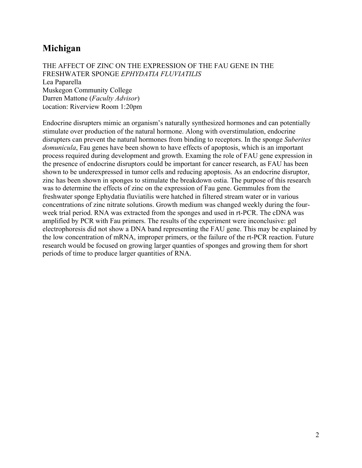# **Michigan**

THE AFFECT OF ZINC ON THE EXPRESSION OF THE FAU GENE IN THE FRESHWATER SPONGE *EPHYDATIA FLUVIATILIS* Lea Paparella Muskegon Community College Darren Mattone (*Faculty Advisor*) Location: Riverview Room 1:20pm

Endocrine disrupters mimic an organism's naturally synthesized hormones and can potentially stimulate over production of the natural hormone. Along with overstimulation, endocrine disrupters can prevent the natural hormones from binding to receptors. In the sponge *Suberites domunicula*, Fau genes have been shown to have effects of apoptosis, which is an important process required during development and growth. Examing the role of FAU gene expression in the presence of endocrine disruptors could be important for cancer research, as FAU has been shown to be underexpressed in tumor cells and reducing apoptosis. As an endocrine disruptor, zinc has been shown in sponges to stimulate the breakdown ostia. The purpose of this research was to determine the effects of zinc on the expression of Fau gene. Gemmules from the freshwater sponge Ephydatia fluviatilis were hatched in filtered stream water or in various concentrations of zinc nitrate solutions. Growth medium was changed weekly during the fourweek trial period. RNA was extracted from the sponges and used in rt-PCR. The cDNA was amplified by PCR with Fau primers. The results of the experiment were inconclusive: gel electrophoresis did not show a DNA band representing the FAU gene. This may be explained by the low concentration of mRNA, improper primers, or the failure of the rt-PCR reaction. Future research would be focused on growing larger quanties of sponges and growing them for short periods of time to produce larger quantities of RNA.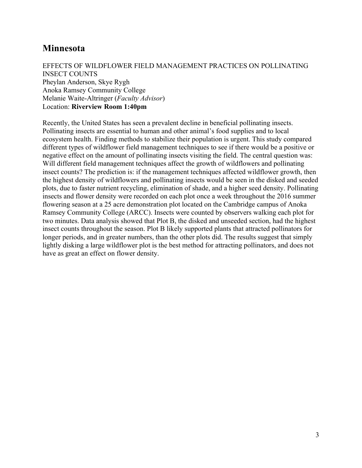# **Minnesota**

#### EFFECTS OF WILDFLOWER FIELD MANAGEMENT PRACTICES ON POLLINATING INSECT COUNTS Pheylan Anderson, Skye Rygh Anoka Ramsey Community College Melanie Waite-Altringer (*Faculty Advisor*) Location: **Riverview Room 1:40pm**

Recently, the United States has seen a prevalent decline in beneficial pollinating insects. Pollinating insects are essential to human and other animal's food supplies and to local ecosystem health. Finding methods to stabilize their population is urgent. This study compared different types of wildflower field management techniques to see if there would be a positive or negative effect on the amount of pollinating insects visiting the field. The central question was: Will different field management techniques affect the growth of wildflowers and pollinating insect counts? The prediction is: if the management techniques affected wildflower growth, then the highest density of wildflowers and pollinating insects would be seen in the disked and seeded plots, due to faster nutrient recycling, elimination of shade, and a higher seed density. Pollinating insects and flower density were recorded on each plot once a week throughout the 2016 summer flowering season at a 25 acre demonstration plot located on the Cambridge campus of Anoka Ramsey Community College (ARCC). Insects were counted by observers walking each plot for two minutes. Data analysis showed that Plot B, the disked and unseeded section, had the highest insect counts throughout the season. Plot B likely supported plants that attracted pollinators for longer periods, and in greater numbers, than the other plots did. The results suggest that simply lightly disking a large wildflower plot is the best method for attracting pollinators, and does not have as great an effect on flower density.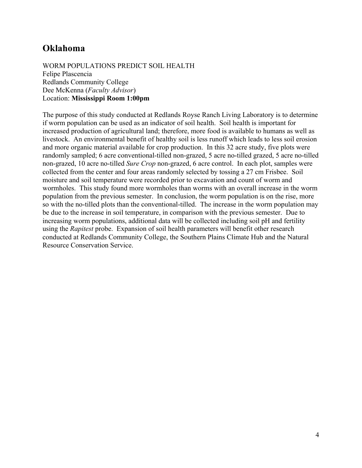# **Oklahoma**

WORM POPULATIONS PREDICT SOIL HEALTH Felipe Plascencia Redlands Community College Dee McKenna (*Faculty Advisor*) Location: **Mississippi Room 1:00pm**

The purpose of this study conducted at Redlands Royse Ranch Living Laboratory is to determine if worm population can be used as an indicator of soil health. Soil health is important for increased production of agricultural land; therefore, more food is available to humans as well as livestock. An environmental benefit of healthy soil is less runoff which leads to less soil erosion and more organic material available for crop production. In this 32 acre study, five plots were randomly sampled; 6 acre conventional-tilled non-grazed, 5 acre no-tilled grazed, 5 acre no-tilled non-grazed, 10 acre no-tilled *Sure Crop* non-grazed, 6 acre control. In each plot, samples were collected from the center and four areas randomly selected by tossing a 27 cm Frisbee. Soil moisture and soil temperature were recorded prior to excavation and count of worm and wormholes. This study found more wormholes than worms with an overall increase in the worm population from the previous semester. In conclusion, the worm population is on the rise, more so with the no-tilled plots than the conventional-tilled. The increase in the worm population may be due to the increase in soil temperature, in comparison with the previous semester. Due to increasing worm populations, additional data will be collected including soil pH and fertility using the *Rapitest* probe. Expansion of soil health parameters will benefit other research conducted at Redlands Community College, the Southern Plains Climate Hub and the Natural Resource Conservation Service.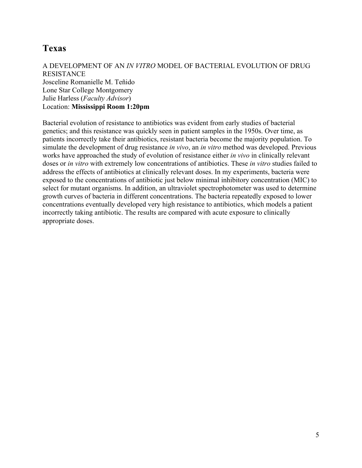# **Texas**

#### A DEVELOPMENT OF AN *IN VITRO* MODEL OF BACTERIAL EVOLUTION OF DRUG RESISTANCE Josceline Romanielle M. Teñido Lone Star College Montgomery

Julie Harless (*Faculty Advisor*)

#### Location: **Mississippi Room 1:20pm**

Bacterial evolution of resistance to antibiotics was evident from early studies of bacterial genetics; and this resistance was quickly seen in patient samples in the 1950s. Over time, as patients incorrectly take their antibiotics, resistant bacteria become the majority population. To simulate the development of drug resistance *in vivo*, an *in vitro* method was developed. Previous works have approached the study of evolution of resistance either *in vivo* in clinically relevant doses or *in vitro* with extremely low concentrations of antibiotics. These *in vitro* studies failed to address the effects of antibiotics at clinically relevant doses. In my experiments, bacteria were exposed to the concentrations of antibiotic just below minimal inhibitory concentration (MIC) to select for mutant organisms. In addition, an ultraviolet spectrophotometer was used to determine growth curves of bacteria in different concentrations. The bacteria repeatedly exposed to lower concentrations eventually developed very high resistance to antibiotics, which models a patient incorrectly taking antibiotic. The results are compared with acute exposure to clinically appropriate doses.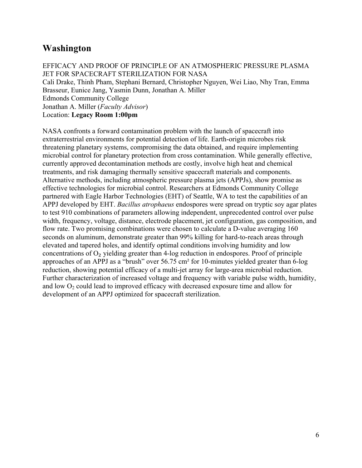# **Washington**

EFFICACY AND PROOF OF PRINCIPLE OF AN ATMOSPHERIC PRESSURE PLASMA JET FOR SPACECRAFT STERILIZATION FOR NASA

Cali Drake, Thinh Pham, Stephani Bernard, Christopher Nguyen, Wei Liao, Nhy Tran, Emma Brasseur, Eunice Jang, Yasmin Dunn, Jonathan A. Miller Edmonds Community College Jonathan A. Miller (*Faculty Advisor*) Location: **Legacy Room 1:00pm**

NASA confronts a forward contamination problem with the launch of spacecraft into extraterrestrial environments for potential detection of life. Earth-origin microbes risk threatening planetary systems, compromising the data obtained, and require implementing microbial control for planetary protection from cross contamination. While generally effective, currently approved decontamination methods are costly, involve high heat and chemical treatments, and risk damaging thermally sensitive spacecraft materials and components. Alternative methods, including atmospheric pressure plasma jets (APPJs), show promise as effective technologies for microbial control. Researchers at Edmonds Community College partnered with Eagle Harbor Technologies (EHT) of Seattle, WA to test the capabilities of an APPJ developed by EHT. *Bacillus atrophaeus* endospores were spread on tryptic soy agar plates to test 910 combinations of parameters allowing independent, unprecedented control over pulse width, frequency, voltage, distance, electrode placement, jet configuration, gas composition, and flow rate. Two promising combinations were chosen to calculate a D-value averaging 160 seconds on aluminum, demonstrate greater than 99% killing for hard-to-reach areas through elevated and tapered holes, and identify optimal conditions involving humidity and low concentrations of  $O<sub>2</sub>$  yielding greater than 4-log reduction in endospores. Proof of principle approaches of an APPJ as a "brush" over 56.75 cm² for 10-minutes yielded greater than 6-log reduction, showing potential efficacy of a multi-jet array for large-area microbial reduction. Further characterization of increased voltage and frequency with variable pulse width, humidity, and low  $O_2$  could lead to improved efficacy with decreased exposure time and allow for development of an APPJ optimized for spacecraft sterilization.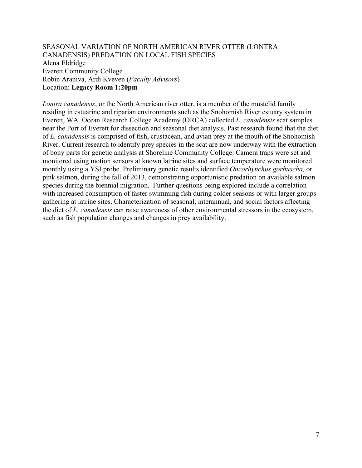SEASONAL VARIATION OF NORTH AMERICAN RIVER OTTER (LONTRA CANADENSIS) PREDATION ON LOCAL FISH SPECIES Alena Eldridge Everett Community College Robin Araniva, Ardi Kveven (*Faculty Advisors*) Location: **Legacy Room 1:20pm**

*Lontra canadensis*, or the North American river otter, is a member of the mustelid family residing in estuarine and riparian environments such as the Snohomish River estuary system in Everett, WA. Ocean Research College Academy (ORCA) collected *L. canadensis* scat samples near the Port of Everett for dissection and seasonal diet analysis. Past research found that the diet of *L. canadensis* is comprised of fish, crustacean, and avian prey at the mouth of the Snohomish River. Current research to identify prey species in the scat are now underway with the extraction of bony parts for genetic analysis at Shoreline Community College. Camera traps were set and monitored using motion sensors at known latrine sites and surface temperature were monitored monthly using a YSI probe. Preliminary genetic results identified *Oncorhynchus gorbuscha,* or pink salmon, during the fall of 2013, demonstrating opportunistic predation on available salmon species during the biennial migration. Further questions being explored include a correlation with increased consumption of faster swimming fish during colder seasons or with larger groups gathering at latrine sites. Characterization of seasonal, interannual, and social factors affecting the diet of *L. canadensis* can raise awareness of other environmental stressors in the ecosystem, such as fish population changes and changes in prey availability.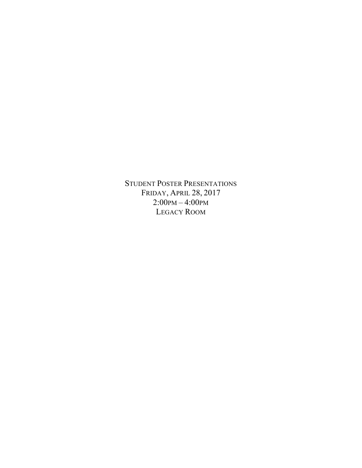STUDENT POSTER PRESENTATIONS FRIDAY, APRIL 28, 2017 2:00PM – 4:00PM LEGACY ROOM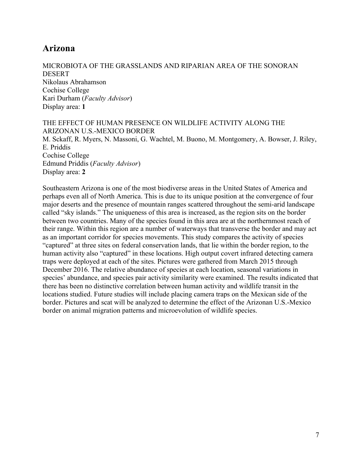# **Arizona**

MICROBIOTA OF THE GRASSLANDS AND RIPARIAN AREA OF THE SONORAN DESERT Nikolaus Abrahamson Cochise College Kari Durham (*Faculty Advisor*) Display area: **1**

THE EFFECT OF HUMAN PRESENCE ON WILDLIFE ACTIVITY ALONG THE ARIZONAN U.S.-MEXICO BORDER M. Sckaff, R. Myers, N. Massoni, G. Wachtel, M. Buono, M. Montgomery, A. Bowser, J. Riley, E. Priddis Cochise College Edmund Priddis (*Faculty Advisor*) Display area: **2**

Southeastern Arizona is one of the most biodiverse areas in the United States of America and perhaps even all of North America. This is due to its unique position at the convergence of four major deserts and the presence of mountain ranges scattered throughout the semi-arid landscape called "sky islands." The uniqueness of this area is increased, as the region sits on the border between two countries. Many of the species found in this area are at the northernmost reach of their range. Within this region are a number of waterways that transverse the border and may act as an important corridor for species movements. This study compares the activity of species "captured" at three sites on federal conservation lands, that lie within the border region, to the human activity also "captured" in these locations. High output covert infrared detecting camera traps were deployed at each of the sites. Pictures were gathered from March 2015 through December 2016. The relative abundance of species at each location, seasonal variations in species' abundance, and species pair activity similarity were examined. The results indicated that there has been no distinctive correlation between human activity and wildlife transit in the locations studied. Future studies will include placing camera traps on the Mexican side of the border. Pictures and scat will be analyzed to determine the effect of the Arizonan U.S.-Mexico border on animal migration patterns and microevolution of wildlife species.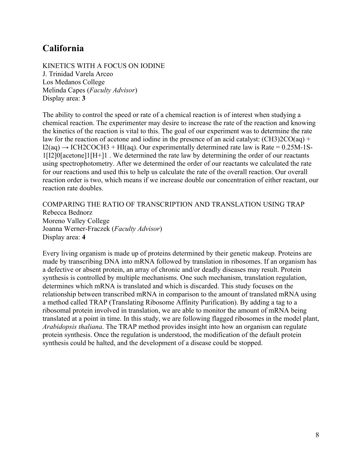# **California**

KINETICS WITH A FOCUS ON IODINE J. Trinidad Varela Arceo Los Medanos College Melinda Capes (*Faculty Advisor*) Display area: **3**

The ability to control the speed or rate of a chemical reaction is of interest when studying a chemical reaction. The experimenter may desire to increase the rate of the reaction and knowing the kinetics of the reaction is vital to this. The goal of our experiment was to determine the rate law for the reaction of acetone and iodine in the presence of an acid catalyst:  $(CH3)2CO(aq)$  +  $I2(aq) \rightarrow ICH2COCH3 + HI(aq)$ . Our experimentally determined rate law is Rate = 0.25M-1S-1[I2]0[acetone]1[H+]1 . We determined the rate law by determining the order of our reactants using spectrophotometry. After we determined the order of our reactants we calculated the rate for our reactions and used this to help us calculate the rate of the overall reaction. Our overall reaction order is two, which means if we increase double our concentration of either reactant, our reaction rate doubles.

COMPARING THE RATIO OF TRANSCRIPTION AND TRANSLATION USING TRAP Rebecca Bednorz Moreno Valley College Joanna Werner-Fraczek (*Faculty Advisor*) Display area: **4**

Every living organism is made up of proteins determined by their genetic makeup. Proteins are made by transcribing DNA into mRNA followed by translation in ribosomes. If an organism has a defective or absent protein, an array of chronic and/or deadly diseases may result. Protein synthesis is controlled by multiple mechanisms. One such mechanism, translation regulation, determines which mRNA is translated and which is discarded. This study focuses on the relationship between transcribed mRNA in comparison to the amount of translated mRNA using a method called TRAP (Translating Ribosome Affinity Purification). By adding a tag to a ribosomal protein involved in translation, we are able to monitor the amount of mRNA being translated at a point in time. In this study, we are following flagged ribosomes in the model plant, *Arabidopsis thaliana*. The TRAP method provides insight into how an organism can regulate protein synthesis. Once the regulation is understood, the modification of the default protein synthesis could be halted, and the development of a disease could be stopped.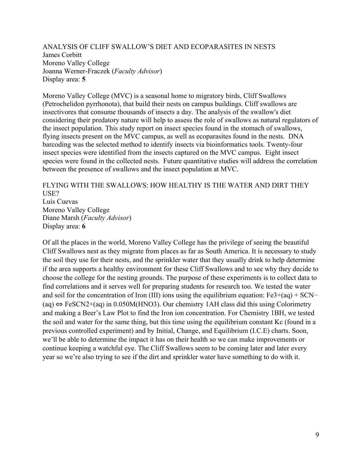ANALYSIS OF CLIFF SWALLOW'S DIET AND ECOPARASITES IN NESTS James Corbitt Moreno Valley College Joanna Werner-Fraczek (*Faculty Advisor*) Display area: **5**

Moreno Valley College (MVC) is a seasonal home to migratory birds, Cliff Swallows (Petrochelidon pyrrhonota), that build their nests on campus buildings. Cliff swallows are insectivores that consume thousands of insects a day. The analysis of the swallow's diet considering their predatory nature will help to assess the role of swallows as natural regulators of the insect population. This study report on insect species found in the stomach of swallows, flying insects present on the MVC campus, as well as ecoparasites found in the nests. DNA barcoding was the selected method to identify insects via bioinformatics tools. Twenty-four insect species were identified from the insects captured on the MVC campus. Eight insect species were found in the collected nests. Future quantitative studies will address the correlation between the presence of swallows and the insect population at MVC.

FLYING WITH THE SWALLOWS: HOW HEALTHY IS THE WATER AND DIRT THEY USE? Luis Cuevas Moreno Valley College Diane Marsh (*Faculty Advisor*) Display area: **6**

Of all the places in the world, Moreno Valley College has the privilege of seeing the beautiful Cliff Swallows nest as they migrate from places as far as South America. It is necessary to study the soil they use for their nests, and the sprinkler water that they usually drink to help determine if the area supports a healthy environment for these Cliff Swallows and to see why they decide to choose the college for the nesting grounds. The purpose of these experiments is to collect data to find correlations and it serves well for preparing students for research too. We tested the water and soil for the concentration of Iron (III) ions using the equilibrium equation: Fe3+(aq) + SCN− (aq) ⇔ FeSCN2+(aq) in 0.050M(HNO3). Our chemistry 1AH class did this using Colorimetry and making a Beer's Law Plot to find the Iron ion concentration. For Chemistry 1BH, we tested the soil and water for the same thing, but this time using the equilibrium constant Kc (found in a previous controlled experiment) and by Initial, Change, and Equilibrium (I.C.E) charts. Soon, we'll be able to determine the impact it has on their health so we can make improvements or continue keeping a watchful eye. The Cliff Swallows seem to be coming later and later every year so we're also trying to see if the dirt and sprinkler water have something to do with it.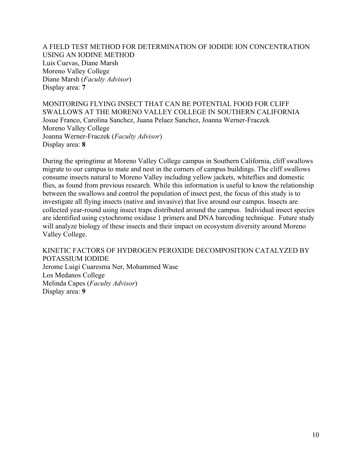A FIELD TEST METHOD FOR DETERMINATION OF IODIDE ION CONCENTRATION USING AN IODINE METHOD Luis Cuevas, Diane Marsh Moreno Valley College Diane Marsh (*Faculty Advisor*) Display area: **7**

MONITORING FLYING INSECT THAT CAN BE POTENTIAL FOOD FOR CLIFF SWALLOWS AT THE MORENO VALLEY COLLEGE IN SOUTHERN CALIFORNIA Josue Franco, Carolina Sanchez, Juana Pelaez Sanchez, Joanna Werner-Fraczek Moreno Valley College Joanna Werner-Fraczek (*Faculty Advisor*) Display area: **8**

During the springtime at Moreno Valley College campus in Southern California, cliff swallows migrate to our campus to mate and nest in the corners of campus buildings. The cliff swallows consume insects natural to Moreno Valley including yellow jackets, whiteflies and domestic flies, as found from previous research. While this information is useful to know the relationship between the swallows and control the population of insect pest, the focus of this study is to investigate all flying insects (native and invasive) that live around our campus. Insects are collected year-round using insect traps distributed around the campus. Individual insect species are identified using cytochrome oxidase 1 primers and DNA barcoding technique. Future study will analyze biology of these insects and their impact on ecosystem diversity around Moreno Valley College.

KINETIC FACTORS OF HYDROGEN PEROXIDE DECOMPOSITION CATALYZED BY POTASSIUM IODIDE Jerome Luigi Cuaresma Ner, Mohammed Wase Los Medanos College Melinda Capes (*Faculty Advisor*) Display area: **9**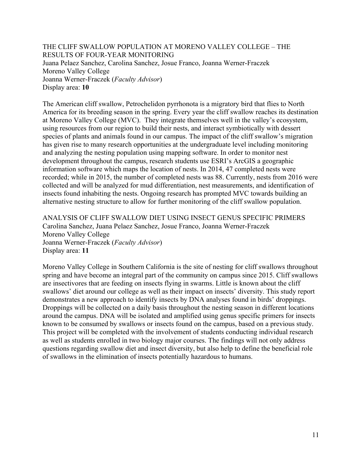THE CLIFF SWALLOW POPULATION AT MORENO VALLEY COLLEGE – THE RESULTS OF FOUR-YEAR MONITORING Juana Pelaez Sanchez, Carolina Sanchez, Josue Franco, Joanna Werner-Fraczek Moreno Valley College Joanna Werner-Fraczek (*Faculty Advisor*) Display area: **10**

The American cliff swallow, Petrochelidon pyrrhonota is a migratory bird that flies to North America for its breeding season in the spring. Every year the cliff swallow reaches its destination at Moreno Valley College (MVC). They integrate themselves well in the valley's ecosystem, using resources from our region to build their nests, and interact symbiotically with dessert species of plants and animals found in our campus. The impact of the cliff swallow's migration has given rise to many research opportunities at the undergraduate level including monitoring and analyzing the nesting population using mapping software. In order to monitor nest development throughout the campus, research students use ESRI's ArcGIS a geographic information software which maps the location of nests. In 2014, 47 completed nests were recorded; while in 2015, the number of completed nests was 88. Currently, nests from 2016 were collected and will be analyzed for mud differentiation, nest measurements, and identification of insects found inhabiting the nests. Ongoing research has prompted MVC towards building an alternative nesting structure to allow for further monitoring of the cliff swallow population.

ANALYSIS OF CLIFF SWALLOW DIET USING INSECT GENUS SPECIFIC PRIMERS Carolina Sanchez, Juana Pelaez Sanchez, Josue Franco, Joanna Werner-Fraczek Moreno Valley College Joanna Werner-Fraczek (*Faculty Advisor*) Display area: **11**

Moreno Valley College in Southern California is the site of nesting for cliff swallows throughout spring and have become an integral part of the community on campus since 2015. Cliff swallows are insectivores that are feeding on insects flying in swarms. Little is known about the cliff swallows' diet around our college as well as their impact on insects' diversity. This study report demonstrates a new approach to identify insects by DNA analyses found in birds' droppings. Droppings will be collected on a daily basis throughout the nesting season in different locations around the campus. DNA will be isolated and amplified using genus specific primers for insects known to be consumed by swallows or insects found on the campus, based on a previous study. This project will be completed with the involvement of students conducting individual research as well as students enrolled in two biology major courses. The findings will not only address questions regarding swallow diet and insect diversity, but also help to define the beneficial role of swallows in the elimination of insects potentially hazardous to humans.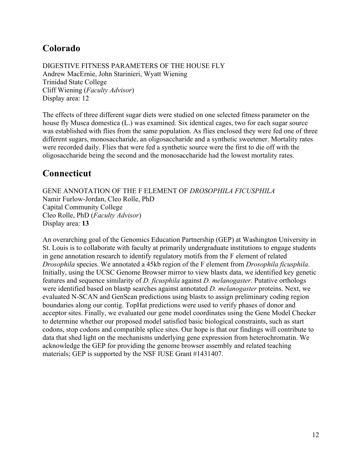# **Colorado**

DIGESTIVE FITNESS PARAMETERS OF THE HOUSE FLY Andrew MacErnie, John Starinieri, Wyatt Wiening Trinidad State College Cliff Wiening (*Faculty Advisor*) Display area: 12

The effects of three different sugar diets were studied on one selected fitness parameter on the house fly Musca domestica (L.) was examined. Six identical cages, two for each sugar source was established with flies from the same population. As flies enclosed they were fed one of three different sugars, monosaccharide, an oligosaccharide and a synthetic sweetener. Mortality rates were recorded daily. Flies that were fed a synthetic source were the first to die off with the oligosaccharide being the second and the monosaccharide had the lowest mortality rates.

# **Connecticut**

GENE ANNOTATION OF THE F ELEMENT OF *DROSOPHILA FICUSPHILA* Namir Furlow-Jordan, Cleo Rolle, PhD Capital Community College Cleo Rolle, PhD (*Faculty Advisor*) Display area: **13**

An overarching goal of the Genomics Education Partnership (GEP) at Washington University in St. Louis is to collaborate with faculty at primarily undergraduate institutions to engage students in gene annotation research to identify regulatory motifs from the F element of related *Drosophila* species. We annotated a 45kb region of the F element from *Drosophila ficusphila*. Initially, using the UCSC Genome Browser mirror to view blastx data, we identified key genetic features and sequence similarity of *D. ficusphila* against *D. melanogaster*. Putative orthologs were identified based on blastp searches against annotated *D. melanogaster* proteins. Next, we evaluated N-SCAN and GenScan predictions using blastx to assign preliminary coding region boundaries along our contig. TopHat predictions were used to verify phases of donor and acceptor sites. Finally, we evaluated our gene model coordinates using the Gene Model Checker to determine whether our proposed model satisfied basic biological constraints, such as start codons, stop codons and compatible splice sites. Our hope is that our findings will contribute to data that shed light on the mechanisms underlying gene expression from heterochromatin. We acknowledge the GEP for providing the genome browser assembly and related teaching materials; GEP is supported by the NSF IUSE Grant #1431407.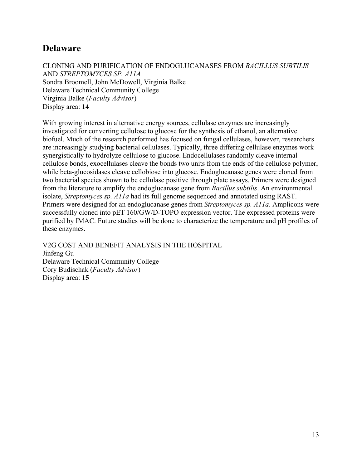# **Delaware**

CLONING AND PURIFICATION OF ENDOGLUCANASES FROM *BACILLUS SUBTILIS* AND *STREPTOMYCES SP. A11A* Sondra Broomell, John McDowell, Virginia Balke Delaware Technical Community College Virginia Balke (*Faculty Advisor*) Display area: **14**

With growing interest in alternative energy sources, cellulase enzymes are increasingly investigated for converting cellulose to glucose for the synthesis of ethanol, an alternative biofuel. Much of the research performed has focused on fungal cellulases, however, researchers are increasingly studying bacterial cellulases. Typically, three differing cellulase enzymes work synergistically to hydrolyze cellulose to glucose. Endocellulases randomly cleave internal cellulose bonds, exocellulases cleave the bonds two units from the ends of the cellulose polymer, while beta-glucosidases cleave cellobiose into glucose. Endoglucanase genes were cloned from two bacterial species shown to be cellulase positive through plate assays. Primers were designed from the literature to amplify the endoglucanase gene from *Bacillus subtilis*. An environmental isolate, *Streptomyces sp. A11a* had its full genome sequenced and annotated using RAST. Primers were designed for an endoglucanase genes from *Streptomyces sp. A11a*. Amplicons were successfully cloned into pET 160/GW/D-TOPO expression vector. The expressed proteins were purified by IMAC. Future studies will be done to characterize the temperature and pH profiles of these enzymes.

V2G COST AND BENEFIT ANALYSIS IN THE HOSPITAL Jinfeng Gu Delaware Technical Community College Cory Budischak (*Faculty Advisor*) Display area: **15**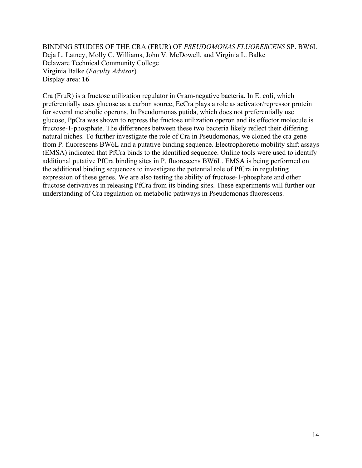BINDING STUDIES OF THE CRA (FRUR) OF *PSEUDOMONAS FLUORESCENS* SP. BW6L Deja L. Latney, Molly C. Williams, John V. McDowell, and Virginia L. Balke Delaware Technical Community College Virginia Balke (*Faculty Advisor*) Display area: **16**

Cra (FruR) is a fructose utilization regulator in Gram-negative bacteria. In E. coli, which preferentially uses glucose as a carbon source, EcCra plays a role as activator/repressor protein for several metabolic operons. In Pseudomonas putida, which does not preferentially use glucose, PpCra was shown to repress the fructose utilization operon and its effector molecule is fructose-1-phosphate. The differences between these two bacteria likely reflect their differing natural niches. To further investigate the role of Cra in Pseudomonas, we cloned the cra gene from P. fluorescens BW6L and a putative binding sequence. Electrophoretic mobility shift assays (EMSA) indicated that PfCra binds to the identified sequence. Online tools were used to identify additional putative PfCra binding sites in P. fluorescens BW6L. EMSA is being performed on the additional binding sequences to investigate the potential role of PfCra in regulating expression of these genes. We are also testing the ability of fructose-1-phosphate and other fructose derivatives in releasing PfCra from its binding sites. These experiments will further our understanding of Cra regulation on metabolic pathways in Pseudomonas fluorescens.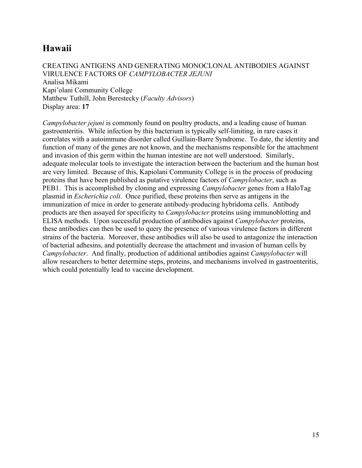# **Hawaii**

CREATING ANTIGENS AND GENERATING MONOCLONAL ANTIBODIES AGAINST VIRULENCE FACTORS OF *CAMPYLOBACTER JEJUNI* Analisa Mikami Kapi'olani Community College Matthew Tuthill, John Berestecky (*Faculty Advisors*) Display area: **17**

*Campylobacter jejuni* is commonly found on poultry products, and a leading cause of human gastroenteritis. While infection by this bacterium is typically self-limiting, in rare cases it correlates with a autoimmune disorder called Guillain-Barre Syndrome. To date, the identity and function of many of the genes are not known, and the mechanisms responsible for the attachment and invasion of this germ within the human intestine are not well understood. Similarly, adequate molecular tools to investigate the interaction between the bacterium and the human host are very limited. Because of this, Kapiolani Community College is in the process of producing proteins that have been published as putative virulence factors of *Campylobacter*, such as PEB1. This is accomplished by cloning and expressing *Campylobacter* genes from a HaloTag plasmid in *Escherichia coli*. Once purified, these proteins then serve as antigens in the immunization of mice in order to generate antibody-producing hybridoma cells. Antibody products are then assayed for specificity to *Campylobacter* proteins using immunoblotting and ELISA methods. Upon successful production of antibodies against *Campylobacter* proteins, these antibodies can then be used to query the presence of various virulence factors in different strains of the bacteria. Moreover, these antibodies will also be used to antagonize the interaction of bacterial adhesins, and potentially decrease the attachment and invasion of human cells by *Campylobacter*. And finally, production of additional antibodies against *Campylobacter* will allow researchers to better determine steps, proteins, and mechanisms involved in gastroenteritis, which could potentially lead to vaccine development.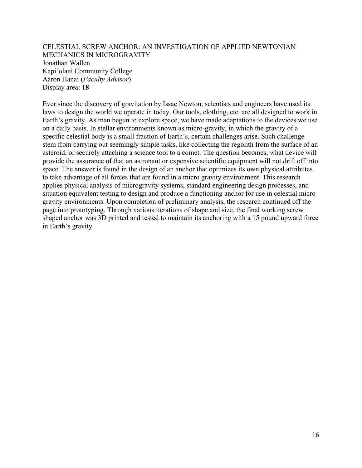CELESTIAL SCREW ANCHOR: AN INVESTIGATION OF APPLIED NEWTONIAN MECHANICS IN MICROGRAVITY Jonathan Wallen Kapi'olani Community College Aaron Hanai (*Faculty Advisor*) Display area: **18**

Ever since the discovery of gravitation by Issac Newton, scientists and engineers have used its laws to design the world we operate in today. Our tools, clothing, etc. are all designed to work in Earth's gravity. As man begun to explore space, we have made adaptations to the devices we use on a daily basis. In stellar environments known as micro-gravity, in which the gravity of a specific celestial body is a small fraction of Earth's, certain challenges arise. Such challenge stem from carrying out seemingly simple tasks, like collecting the regolith from the surface of an asteroid, or securely attaching a science tool to a comet. The question becomes, what device will provide the assurance of that an astronaut or expensive scientific equipment will not drift off into space. The answer is found in the design of an anchor that optimizes its own physical attributes to take advantage of all forces that are found in a micro gravity environment. This research applies physical analysis of microgravity systems, standard engineering design processes, and situation equivalent testing to design and produce a functioning anchor for use in celestial micro gravity environments. Upon completion of preliminary analysis, the research continued off the page into prototyping. Through various iterations of shape and size, the final working screw shaped anchor was 3D printed and tested to maintain its anchoring with a 15 pound upward force in Earth's gravity.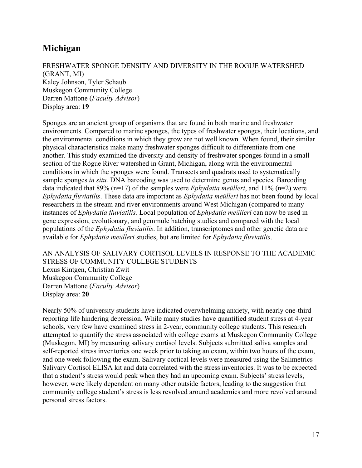# **Michigan**

FRESHWATER SPONGE DENSITY AND DIVERSITY IN THE ROGUE WATERSHED (GRANT, MI) Kaley Johnson, Tyler Schaub Muskegon Community College Darren Mattone (*Faculty Advisor*) Display area: **19**

Sponges are an ancient group of organisms that are found in both marine and freshwater environments. Compared to marine sponges, the types of freshwater sponges, their locations, and the environmental conditions in which they grow are not well known. When found, their similar physical characteristics make many freshwater sponges difficult to differentiate from one another. This study examined the diversity and density of freshwater sponges found in a small section of the Rogue River watershed in Grant, Michigan, along with the environmental conditions in which the sponges were found. Transects and quadrats used to systematically sample sponges *in situ.* DNA barcoding was used to determine genus and species*.* Barcoding data indicated that 89% (n=17) of the samples were *Ephydatia meülleri*, and 11% (n=2) were *Ephydatia fluviatilis*. These data are important as *Ephydatia meülleri* has not been found by local researchers in the stream and river environments around West Michigan (compared to many instances of *Ephydatia fluviatilis.* Local population of *Ephydatia meülleri* can now be used in gene expression, evolutionary, and gemmule hatching studies and compared with the local populations of the *Ephydatia fluviatilis*. In addition, transcriptomes and other genetic data are available for *Ephydatia meülleri* studies, but are limited for *Ephydatia fluviatilis*.

#### AN ANALYSIS OF SALIVARY CORTISOL LEVELS IN RESPONSE TO THE ACADEMIC STRESS OF COMMUNITY COLLEGE STUDENTS Lexus Kintgen, Christian Zwit Muskegon Community College Darren Mattone (*Faculty Advisor*)

Display area: **20**

Nearly 50% of university students have indicated overwhelming anxiety, with nearly one-third reporting life hindering depression. While many studies have quantified student stress at 4-year schools, very few have examined stress in 2-year, community college students. This research attempted to quantify the stress associated with college exams at Muskegon Community College (Muskegon, MI) by measuring salivary cortisol levels. Subjects submitted saliva samples and self-reported stress inventories one week prior to taking an exam, within two hours of the exam, and one week following the exam. Salivary cortical levels were measured using the Salimetrics Salivary Cortisol ELISA kit and data correlated with the stress inventories. It was to be expected that a student's stress would peak when they had an upcoming exam. Subjects' stress levels, however, were likely dependent on many other outside factors, leading to the suggestion that community college student's stress is less revolved around academics and more revolved around personal stress factors.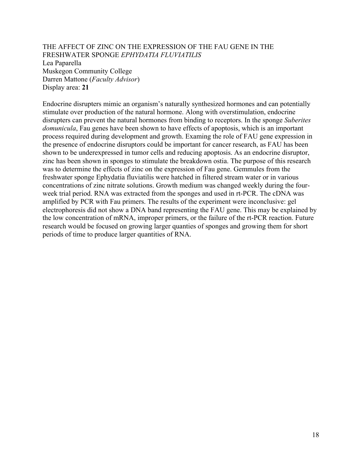#### THE AFFECT OF ZINC ON THE EXPRESSION OF THE FAU GENE IN THE FRESHWATER SPONGE *EPHYDATIA FLUVIATILIS* Lea Paparella Muskegon Community College Darren Mattone (*Faculty Advisor*) Display area: **21**

Endocrine disrupters mimic an organism's naturally synthesized hormones and can potentially stimulate over production of the natural hormone. Along with overstimulation, endocrine disrupters can prevent the natural hormones from binding to receptors. In the sponge *Suberites domunicula*, Fau genes have been shown to have effects of apoptosis, which is an important process required during development and growth. Examing the role of FAU gene expression in the presence of endocrine disruptors could be important for cancer research, as FAU has been shown to be underexpressed in tumor cells and reducing apoptosis. As an endocrine disruptor, zinc has been shown in sponges to stimulate the breakdown ostia. The purpose of this research was to determine the effects of zinc on the expression of Fau gene. Gemmules from the freshwater sponge Ephydatia fluviatilis were hatched in filtered stream water or in various concentrations of zinc nitrate solutions. Growth medium was changed weekly during the fourweek trial period. RNA was extracted from the sponges and used in rt-PCR. The cDNA was amplified by PCR with Fau primers. The results of the experiment were inconclusive: gel electrophoresis did not show a DNA band representing the FAU gene. This may be explained by the low concentration of mRNA, improper primers, or the failure of the rt-PCR reaction. Future research would be focused on growing larger quanties of sponges and growing them for short periods of time to produce larger quantities of RNA.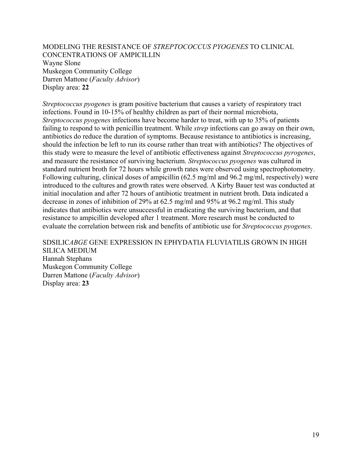MODELING THE RESISTANCE OF *STREPTOCOCCUS PYOGENES* TO CLINICAL CONCENTRATIONS OF AMPICILLIN Wayne Slone Muskegon Community College Darren Mattone (*Faculty Advisor*) Display area: **22**

*Streptococcus pyogenes* is gram positive bacterium that causes a variety of respiratory tract infections. Found in 10-15% of healthy children as part of their normal microbiota, *Streptococcus pyogenes* infections have become harder to treat, with up to 35% of patients failing to respond to with penicillin treatment. While *strep* infections can go away on their own, antibiotics do reduce the duration of symptoms. Because resistance to antibiotics is increasing, should the infection be left to run its course rather than treat with antibiotics? The objectives of this study were to measure the level of antibiotic effectiveness against *Streptococcus pyrogenes*, and measure the resistance of surviving bacterium. *Streptococcus pyogenes* was cultured in standard nutrient broth for 72 hours while growth rates were observed using spectrophotometry. Following culturing, clinical doses of ampicillin (62.5 mg/ml and 96.2 mg/ml, respectively) were introduced to the cultures and growth rates were observed. A Kirby Bauer test was conducted at initial inoculation and after 72 hours of antibiotic treatment in nutrient broth. Data indicated a decrease in zones of inhibition of 29% at 62.5 mg/ml and 95% at 96.2 mg/ml. This study indicates that antibiotics were unsuccessful in eradicating the surviving bacterium, and that resistance to ampicillin developed after 1 treatment. More research must be conducted to evaluate the correlation between risk and benefits of antibiotic use for *Streptococcus pyogenes*.

#### SDSILIC*ABGE* GENE EXPRESSION IN EPHYDATIA FLUVIATILIS GROWN IN HIGH

SILICA MEDIUM Hannah Stephans Muskegon Community College Darren Mattone (*Faculty Advisor*) Display area: **23**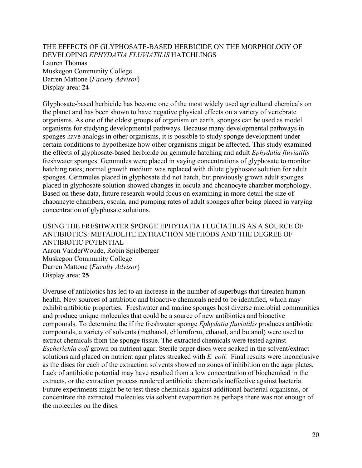#### THE EFFECTS OF GLYPHOSATE-BASED HERBICIDE ON THE MORPHOLOGY OF DEVELOPING *EPHYDATIA FLUVIATILIS* HATCHLINGS Lauren Thomas Muskegon Community College Darren Mattone (*Faculty Advisor*) Display area: **24**

Glyphosate-based herbicide has become one of the most widely used agricultural chemicals on the planet and has been shown to have negative physical effects on a variety of vertebrate organisms. As one of the oldest groups of organism on earth, sponges can be used as model organisms for studying developmental pathways. Because many developmental pathways in sponges have analogs in other organisms, it is possible to study sponge development under certain conditions to hypothesize how other organisms might be affected. This study examined the effects of glyphosate-based herbicide on gemmule hatching and adult *Ephydatia fluviatilis* freshwater sponges. Gemmules were placed in vaying concentrations of glyphosate to monitor hatching rates; normal growth medium was replaced with dilute glyphosate solution for adult sponges. Gemmules placed in glyphosate did not hatch, but previously grown adult sponges placed in glyphosate solution showed changes in oscula and choanocyte chamber morphology. Based on these data, future research would focus on examining in more detail the size of chaoancyte chambers, oscula, and pumping rates of adult sponges after being placed in varying concentration of glyphosate solutions.

#### USING THE FRESHWATER SPONGE EPHYDATIA FLUCIATILIS AS A SOURCE OF ANTIBIOTICS: METABOLITE EXTRACTION METHODS AND THE DEGREE OF ANTIBIOTIC POTENTIAL Aaron VanderWoude, Robin Spielberger

Muskegon Community College Darren Mattone (*Faculty Advisor*) Display area: **25**

Overuse of antibiotics has led to an increase in the number of superbugs that threaten human health. New sources of antibiotic and bioactive chemicals need to be identified, which may exhibit antibiotic properties. Freshwater and marine sponges host diverse microbial communities and produce unique molecules that could be a source of new antibiotics and bioactive compounds. To determine the if the freshwater sponge *Ephydatia fluviatilis* produces antibiotic compounds, a variety of solvents (methanol, chloroform, ethanol, and butanol) were used to extract chemicals from the sponge tissue. The extracted chemicals were tested against *Escherichia coli* grown on nutrient agar. Sterile paper discs were soaked in the solvent/extract solutions and placed on nutrient agar plates streaked with *E. coli.* Final results were inconclusive as the discs for each of the extraction solvents showed no zones of inhibition on the agar plates. Lack of antibiotic potential may have resulted from a low concentration of biochemical in the extracts, or the extraction process rendered antibiotic chemicals ineffective against bacteria. Future experiments might be to test these chemicals against additional bacterial organisms, or concentrate the extracted molecules via solvent evaporation as perhaps there was not enough of the molecules on the discs.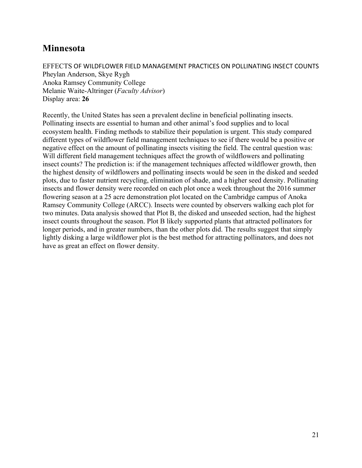# **Minnesota**

EFFECTS OF WILDFLOWER FIELD MANAGEMENT PRACTICES ON POLLINATING INSECT COUNTS Pheylan Anderson, Skye Rygh Anoka Ramsey Community College Melanie Waite-Altringer (*Faculty Advisor*) Display area: **26**

Recently, the United States has seen a prevalent decline in beneficial pollinating insects. Pollinating insects are essential to human and other animal's food supplies and to local ecosystem health. Finding methods to stabilize their population is urgent. This study compared different types of wildflower field management techniques to see if there would be a positive or negative effect on the amount of pollinating insects visiting the field. The central question was: Will different field management techniques affect the growth of wildflowers and pollinating insect counts? The prediction is: if the management techniques affected wildflower growth, then the highest density of wildflowers and pollinating insects would be seen in the disked and seeded plots, due to faster nutrient recycling, elimination of shade, and a higher seed density. Pollinating insects and flower density were recorded on each plot once a week throughout the 2016 summer flowering season at a 25 acre demonstration plot located on the Cambridge campus of Anoka Ramsey Community College (ARCC). Insects were counted by observers walking each plot for two minutes. Data analysis showed that Plot B, the disked and unseeded section, had the highest insect counts throughout the season. Plot B likely supported plants that attracted pollinators for longer periods, and in greater numbers, than the other plots did. The results suggest that simply lightly disking a large wildflower plot is the best method for attracting pollinators, and does not have as great an effect on flower density.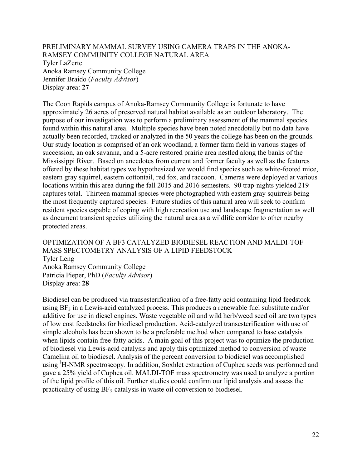PRELIMINARY MAMMAL SURVEY USING CAMERA TRAPS IN THE ANOKA-RAMSEY COMMUNITY COLLEGE NATURAL AREA Tyler LaZerte Anoka Ramsey Community College Jennifer Braido (*Faculty Advisor*) Display area: **27**

The Coon Rapids campus of Anoka-Ramsey Community College is fortunate to have approximately 26 acres of preserved natural habitat available as an outdoor laboratory. The purpose of our investigation was to perform a preliminary assessment of the mammal species found within this natural area. Multiple species have been noted anecdotally but no data have actually been recorded, tracked or analyzed in the 50 years the college has been on the grounds. Our study location is comprised of an oak woodland, a former farm field in various stages of succession, an oak savanna, and a 5-acre restored prairie area nestled along the banks of the Mississippi River. Based on anecdotes from current and former faculty as well as the features offered by these habitat types we hypothesized we would find species such as white-footed mice, eastern gray squirrel, eastern cottontail, red fox, and raccoon. Cameras were deployed at various locations within this area during the fall 2015 and 2016 semesters. 90 trap-nights yielded 219 captures total. Thirteen mammal species were photographed with eastern gray squirrels being the most frequently captured species. Future studies of this natural area will seek to confirm resident species capable of coping with high recreation use and landscape fragmentation as well as document transient species utilizing the natural area as a wildlife corridor to other nearby protected areas.

OPTIMIZATION OF A BF3 CATALYZED BIODIESEL REACTION AND MALDI-TOF MASS SPECTOMETRY ANALYSIS OF A LIPID FEEDSTOCK Tyler Leng Anoka Ramsey Community College Patricia Pieper, PhD (*Faculty Advisor*) Display area: **28**

Biodiesel can be produced via transesterification of a free-fatty acid containing lipid feedstock using  $BF_3$  in a Lewis-acid catalyzed process. This produces a renewable fuel substitute and/or additive for use in diesel engines. Waste vegetable oil and wild herb/weed seed oil are two types of low cost feedstocks for biodiesel production. Acid-catalyzed transesterification with use of simple alcohols has been shown to be a preferable method when compared to base catalysis when lipids contain free-fatty acids. A main goal of this project was to optimize the production of biodiesel via Lewis-acid catalysis and apply this optimized method to conversion of waste Camelina oil to biodiesel. Analysis of the percent conversion to biodiesel was accomplished using <sup>1</sup>H-NMR spectroscopy. In addition, Soxhlet extraction of Cuphea seeds was performed and gave a 25% yield of Cuphea oil. MALDI-TOF mass spectrometry was used to analyze a portion of the lipid profile of this oil. Further studies could confirm our lipid analysis and assess the practicality of using BF<sub>3</sub>-catalysis in waste oil conversion to biodiesel.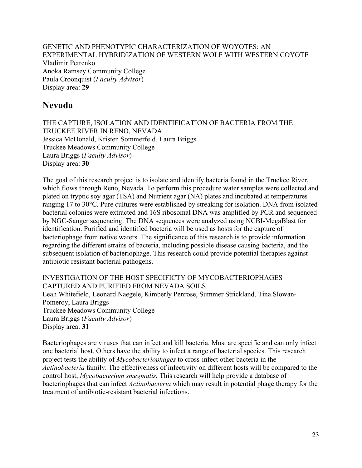GENETIC AND PHENOTYPIC CHARACTERIZATION OF WOYOTES: AN EXPERIMENTAL HYBRIDIZATION OF WESTERN WOLF WITH WESTERN COYOTE Vladimir Petrenko Anoka Ramsey Community College Paula Croonquist (*Faculty Advisor*) Display area: **29**

# **Nevada**

THE CAPTURE, ISOLATION AND IDENTIFICATION OF BACTERIA FROM THE TRUCKEE RIVER IN RENO, NEVADA Jessica McDonald, Kristen Sommerfeld, Laura Briggs Truckee Meadows Community College Laura Briggs (*Faculty Advisor*) Display area: **30**

The goal of this research project is to isolate and identify bacteria found in the Truckee River, which flows through Reno, Nevada. To perform this procedure water samples were collected and plated on tryptic soy agar (TSA) and Nutrient agar (NA) plates and incubated at temperatures ranging 17 to 30°C. Pure cultures were established by streaking for isolation. DNA from isolated bacterial colonies were extracted and 16S ribosomal DNA was amplified by PCR and sequenced by NGC-Sanger sequencing. The DNA sequences were analyzed using NCBI-MegaBlast for identification. Purified and identified bacteria will be used as hosts for the capture of bacteriophage from native waters. The significance of this research is to provide information regarding the different strains of bacteria, including possible disease causing bacteria, and the subsequent isolation of bacteriophage. This research could provide potential therapies against antibiotic resistant bacterial pathogens.

INVESTIGATION OF THE HOST SPECIFICTY OF MYCOBACTERIOPHAGES CAPTURED AND PURIFIED FROM NEVADA SOILS Leah Whitefield, Leonard Naegele, Kimberly Penrose, Summer Strickland, Tina Slowan-Pomeroy, Laura Briggs Truckee Meadows Community College Laura Briggs (*Faculty Advisor*) Display area: **31**

Bacteriophages are viruses that can infect and kill bacteria. Most are specific and can only infect one bacterial host. Others have the ability to infect a range of bacterial species. This research project tests the ability of *Mycobacteriophages* to cross-infect other bacteria in the *Actinobacteria* family. The effectiveness of infectivity on different hosts will be compared to the control host, *Mycobacterium smegmatis.* This research will help provide a database of bacteriophages that can infect *Actinobacteria* which may result in potential phage therapy for the treatment of antibiotic-resistant bacterial infections.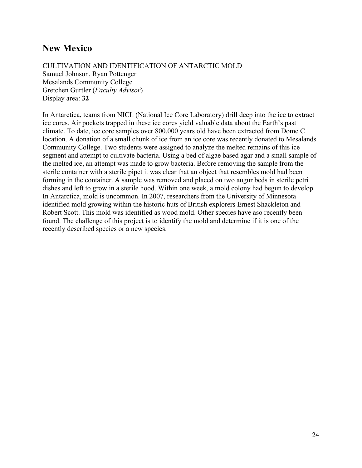# **New Mexico**

CULTIVATION AND IDENTIFICATION OF ANTARCTIC MOLD Samuel Johnson, Ryan Pottenger Mesalands Community College Gretchen Gurtler (*Faculty Advisor*) Display area: **32**

In Antarctica, teams from NICL (National Ice Core Laboratory) drill deep into the ice to extract ice cores. Air pockets trapped in these ice cores yield valuable data about the Earth's past climate. To date, ice core samples over 800,000 years old have been extracted from Dome C location. A donation of a small chunk of ice from an ice core was recently donated to Mesalands Community College. Two students were assigned to analyze the melted remains of this ice segment and attempt to cultivate bacteria. Using a bed of algae based agar and a small sample of the melted ice, an attempt was made to grow bacteria. Before removing the sample from the sterile container with a sterile pipet it was clear that an object that resembles mold had been forming in the container. A sample was removed and placed on two augur beds in sterile petri dishes and left to grow in a sterile hood. Within one week, a mold colony had begun to develop. In Antarctica, mold is uncommon. In 2007, researchers from the University of Minnesota identified mold growing within the historic huts of British explorers Ernest Shackleton and Robert Scott. This mold was identified as wood mold. Other species have aso recently been found. The challenge of this project is to identify the mold and determine if it is one of the recently described species or a new species.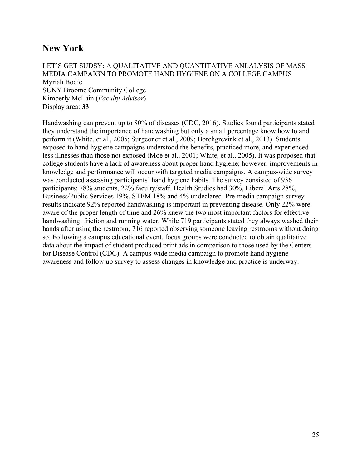# **New York**

LET'S GET SUDSY: A QUALITATIVE AND QUANTITATIVE ANLALYSIS OF MASS MEDIA CAMPAIGN TO PROMOTE HAND HYGIENE ON A COLLEGE CAMPUS Myriah Bodie SUNY Broome Community College Kimberly McLain (*Faculty Advisor*) Display area: **33**

Handwashing can prevent up to 80% of diseases (CDC, 2016). Studies found participants stated they understand the importance of handwashing but only a small percentage know how to and perform it (White, et al., 2005; Surgeoner et al., 2009; Borchgrevink et al., 2013). Students exposed to hand hygiene campaigns understood the benefits, practiced more, and experienced less illnesses than those not exposed (Moe et al., 2001; White, et al., 2005). It was proposed that college students have a lack of awareness about proper hand hygiene; however, improvements in knowledge and performance will occur with targeted media campaigns. A campus-wide survey was conducted assessing participants' hand hygiene habits. The survey consisted of 936 participants; 78% students, 22% faculty/staff. Health Studies had 30%, Liberal Arts 28%, Business/Public Services 19%, STEM 18% and 4% undeclared. Pre-media campaign survey results indicate 92% reported handwashing is important in preventing disease. Only 22% were aware of the proper length of time and 26% knew the two most important factors for effective handwashing: friction and running water. While 719 participants stated they always washed their hands after using the restroom, 716 reported observing someone leaving restrooms without doing so. Following a campus educational event, focus groups were conducted to obtain qualitative data about the impact of student produced print ads in comparison to those used by the Centers for Disease Control (CDC). A campus-wide media campaign to promote hand hygiene awareness and follow up survey to assess changes in knowledge and practice is underway.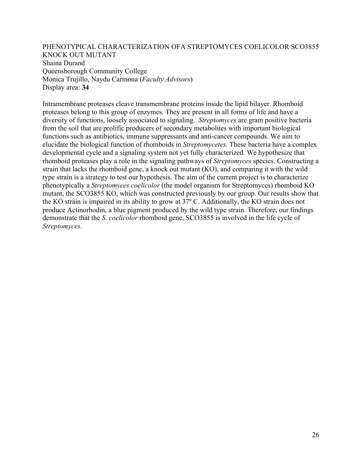PHENOTYPICAL CHARACTERIZATION OFA STREPTOMYCES COELICOLOR SCO3855 KNOCK OUT MUTANT Shaina Durand Queensborough Community College Monica Trujillo, Naydu Carmona (*Faculty Advisors*) Display area: **34**

Intramembrane proteases cleave transmembrane proteins inside the lipid bilayer. Rhomboid proteases belong to this group of enzymes. They are present in all forms of life and have a diversity of functions, loosely associated to signaling. *Streptomyces* are gram positive bacteria from the soil that are prolific producers of secondary metabolites with important biological functions such as antibiotics, immune suppressants and anti-cancer compounds. We aim to elucidate the biological function of rhomboids in *Streptomycetes.* These bacteria have a complex developmental cycle and a signaling system not yet fully characterized. We hypothesize that rhomboid proteases play a role in the signaling pathways of *Streptomyces* species. Constructing a strain that lacks the rhomboid gene, a knock out mutant (KO), and comparing it with the wild type strain is a strategy to test our hypothesis. The aim of the current project is to characterize phenotypically a *Streptomyces coelicolor* (the model organism for Streptomyces) rhomboid KO mutant, the SCO3855 KO, which was constructed previously by our group. Our results show that the KO strain is impaired in its ability to grow at 37º C. Additionally, the KO strain does not produce Actinorhodin, a blue pigment produced by the wild type strain. Therefore, our findings demonstrate that the *S. coelicolor* rhomboid gene, SCO3855 is involved in the life cycle of *Streptomyces*.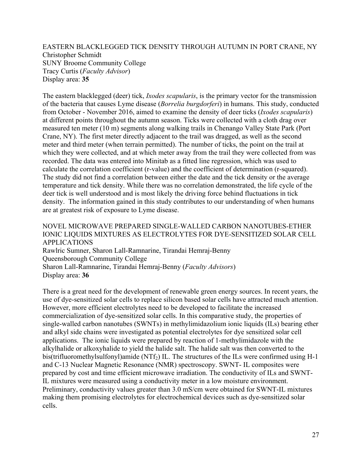EASTERN BLACKLEGGED TICK DENSITY THROUGH AUTUMN IN PORT CRANE, NY Christopher Schmidt SUNY Broome Community College Tracy Curtis (*Faculty Advisor*) Display area: **35**

The eastern blacklegged (deer) tick, *Ixodes scapularis*, is the primary vector for the transmission of the bacteria that causes Lyme disease (*Borrelia burgdorferi*) in humans. This study, conducted from October - November 2016, aimed to examine the density of deer ticks (*Ixodes scapularis*) at different points throughout the autumn season. Ticks were collected with a cloth drag over measured ten meter (10 m) segments along walking trails in Chenango Valley State Park (Port Crane, NY). The first meter directly adjacent to the trail was dragged, as well as the second meter and third meter (when terrain permitted). The number of ticks, the point on the trail at which they were collected, and at which meter away from the trail they were collected from was recorded. The data was entered into Minitab as a fitted line regression, which was used to calculate the correlation coefficient (r-value) and the coefficient of determination (r-squared). The study did not find a correlation between either the date and the tick density or the average temperature and tick density. While there was no correlation demonstrated, the life cycle of the deer tick is well understood and is most likely the driving force behind fluctuations in tick density. The information gained in this study contributes to our understanding of when humans are at greatest risk of exposure to Lyme disease.

#### NOVEL MICROWAVE PREPARED SINGLE-WALLED CARBON NANOTUBES-ETHER IONIC LIQUIDS MIXTURES AS ELECTROLYTES FOR DYE-SENSITIZED SOLAR CELL APPLICATIONS

Rawlric Sumner, Sharon Lall-Ramnarine, Tirandai Hemraj-Benny Queensborough Community College Sharon Lall-Ramnarine, Tirandai Hemraj-Benny (*Faculty Advisors*) Display area: **36**

There is a great need for the development of renewable green energy sources. In recent years, the use of dye-sensitized solar cells to replace silicon based solar cells have attracted much attention. However, more efficient electrolytes need to be developed to facilitate the increased commercialization of dye-sensitized solar cells. In this comparative study, the properties of single-walled carbon nanotubes (SWNTs) in methylimidazolium ionic liquids (ILs) bearing ether and alkyl side chains were investigated as potential electrolytes for dye sensitized solar cell applications. The ionic liquids were prepared by reaction of 1-methylimidazole with the alkylhalide or alkoxyhalide to yield the halide salt. The halide salt was then converted to the bis(trifluoromethylsulfonyl)amide (NTf<sub>2</sub>) IL. The structures of the ILs were confirmed using H-1 and C-13 Nuclear Magnetic Resonance (NMR) spectroscopy. SWNT- IL composites were prepared by cost and time efficient microwave irradiation. The conductivity of ILs and SWNT-IL mixtures were measured using a conductivity meter in a low moisture environment. Preliminary, conductivity values greater than 3.0 mS/cm were obtained for SWNT-IL mixtures making them promising electrolytes for electrochemical devices such as dye-sensitized solar cells.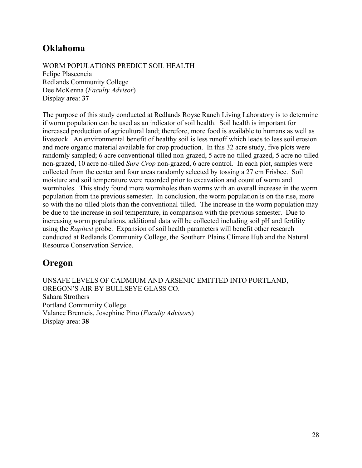# **Oklahoma**

WORM POPULATIONS PREDICT SOIL HEALTH Felipe Plascencia Redlands Community College Dee McKenna (*Faculty Advisor*) Display area: **37**

The purpose of this study conducted at Redlands Royse Ranch Living Laboratory is to determine if worm population can be used as an indicator of soil health. Soil health is important for increased production of agricultural land; therefore, more food is available to humans as well as livestock. An environmental benefit of healthy soil is less runoff which leads to less soil erosion and more organic material available for crop production. In this 32 acre study, five plots were randomly sampled; 6 acre conventional-tilled non-grazed, 5 acre no-tilled grazed, 5 acre no-tilled non-grazed, 10 acre no-tilled *Sure Crop* non-grazed, 6 acre control. In each plot, samples were collected from the center and four areas randomly selected by tossing a 27 cm Frisbee. Soil moisture and soil temperature were recorded prior to excavation and count of worm and wormholes. This study found more wormholes than worms with an overall increase in the worm population from the previous semester. In conclusion, the worm population is on the rise, more so with the no-tilled plots than the conventional-tilled. The increase in the worm population may be due to the increase in soil temperature, in comparison with the previous semester. Due to increasing worm populations, additional data will be collected including soil pH and fertility using the *Rapitest* probe. Expansion of soil health parameters will benefit other research conducted at Redlands Community College, the Southern Plains Climate Hub and the Natural Resource Conservation Service.

# **Oregon**

UNSAFE LEVELS OF CADMIUM AND ARSENIC EMITTED INTO PORTLAND, OREGON'S AIR BY BULLSEYE GLASS CO. Sahara Strothers Portland Community College Valance Brenneis, Josephine Pino (*Faculty Advisors*) Display area: **38**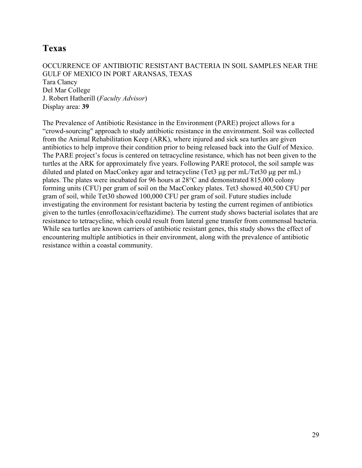# **Texas**

OCCURRENCE OF ANTIBIOTIC RESISTANT BACTERIA IN SOIL SAMPLES NEAR THE GULF OF MEXICO IN PORT ARANSAS, TEXAS Tara Clancy Del Mar College J. Robert Hatherill (*Faculty Advisor*) Display area: **39**

The Prevalence of Antibiotic Resistance in the Environment (PARE) project allows for a "crowd-sourcing" approach to study antibiotic resistance in the environment. Soil was collected from the Animal Rehabilitation Keep (ARK), where injured and sick sea turtles are given antibiotics to help improve their condition prior to being released back into the Gulf of Mexico. The PARE project's focus is centered on tetracycline resistance, which has not been given to the turtles at the ARK for approximately five years. Following PARE protocol, the soil sample was diluted and plated on MacConkey agar and tetracycline (Tet3 µg per mL/Tet30 µg per mL) plates. The plates were incubated for 96 hours at 28°C and demonstrated 815,000 colony forming units (CFU) per gram of soil on the MacConkey plates. Tet3 showed 40,500 CFU per gram of soil, while Tet30 showed 100,000 CFU per gram of soil. Future studies include investigating the environment for resistant bacteria by testing the current regimen of antibiotics given to the turtles (enrofloxacin/ceftazidime). The current study shows bacterial isolates that are resistance to tetracycline, which could result from lateral gene transfer from commensal bacteria. While sea turtles are known carriers of antibiotic resistant genes, this study shows the effect of encountering multiple antibiotics in their environment, along with the prevalence of antibiotic resistance within a coastal community.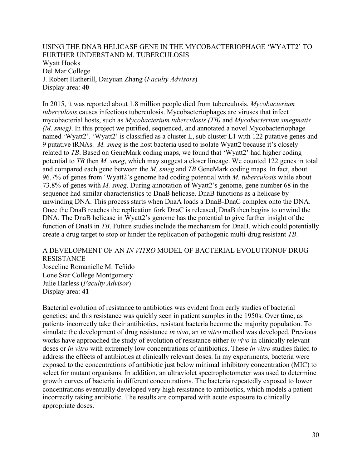USING THE DNAB HELICASE GENE IN THE MYCOBACTERIOPHAGE 'WYATT2' TO FURTHER UNDERSTAND M. TUBERCULOSIS Wyatt Hooks Del Mar College J. Robert Hatherill, Daiyuan Zhang (*Faculty Advisors*) Display area: **40**

In 2015, it was reported about 1.8 million people died from tuberculosis. *Mycobacterium tuberculosis* causes infectious tuberculosis. Mycobacteriophages are viruses that infect mycobacterial hosts, such as *Mycobacterium tuberculosis (TB)* and *Mycobacterium smegmatis (M. smeg)*. In this project we purified, sequenced, and annotated a novel Mycobacteriophage named 'Wyatt2'. 'Wyatt2' is classified as a cluster L, sub cluster L1 with 122 putative genes and 9 putative tRNAs. *M. smeg* is the host bacteria used to isolate Wyatt2 because it's closely related to *TB*. Based on GeneMark coding maps, we found that 'Wyatt2' had higher coding potential to *TB* then *M. smeg*, which may suggest a closer lineage. We counted 122 genes in total and compared each gene between the *M. smeg* and *TB* GeneMark coding maps. In fact, about 96.7% of genes from 'Wyatt2's genome had coding potential with *M. tuberculosis* while about 73.8% of genes with *M. smeg*. During annotation of Wyatt2's genome, gene number 68 in the sequence had similar characteristics to DnaB helicase. DnaB functions as a helicase by unwinding DNA. This process starts when DnaA loads a DnaB-DnaC complex onto the DNA. Once the DnaB reaches the replication fork DnaC is released, DnaB then begins to unwind the DNA. The DnaB helicase in Wyatt2's genome has the potential to give further insight of the function of DnaB in *TB*. Future studies include the mechanism for DnaB, which could potentially create a drug target to stop or hinder the replication of pathogenic multi-drug resistant *TB*.

#### A DEVELOPMENT OF AN *IN VITRO* MODEL OF BACTERIAL EVOLUTIONOF DRUG RESISTANCE

Josceline Romanielle M. Teñido Lone Star College Montgomery Julie Harless (*Faculty Advisor*) Display area: **41**

Bacterial evolution of resistance to antibiotics was evident from early studies of bacterial genetics; and this resistance was quickly seen in patient samples in the 1950s. Over time, as patients incorrectly take their antibiotics, resistant bacteria become the majority population. To simulate the development of drug resistance *in vivo*, an *in vitro* method was developed. Previous works have approached the study of evolution of resistance either *in vivo* in clinically relevant doses or *in vitro* with extremely low concentrations of antibiotics. These *in vitro* studies failed to address the effects of antibiotics at clinically relevant doses. In my experiments, bacteria were exposed to the concentrations of antibiotic just below minimal inhibitory concentration (MIC) to select for mutant organisms. In addition, an ultraviolet spectrophotometer was used to determine growth curves of bacteria in different concentrations. The bacteria repeatedly exposed to lower concentrations eventually developed very high resistance to antibiotics, which models a patient incorrectly taking antibiotic. The results are compared with acute exposure to clinically appropriate doses.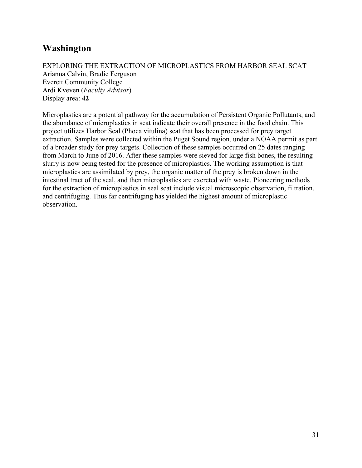# **Washington**

#### EXPLORING THE EXTRACTION OF MICROPLASTICS FROM HARBOR SEAL SCAT Arianna Calvin, Bradie Ferguson Everett Community College Ardi Kveven (*Faculty Advisor*) Display area: **42**

Microplastics are a potential pathway for the accumulation of Persistent Organic Pollutants, and the abundance of microplastics in scat indicate their overall presence in the food chain. This project utilizes Harbor Seal (Phoca vitulina) scat that has been processed for prey target extraction. Samples were collected within the Puget Sound region, under a NOAA permit as part of a broader study for prey targets. Collection of these samples occurred on 25 dates ranging from March to June of 2016. After these samples were sieved for large fish bones, the resulting slurry is now being tested for the presence of microplastics. The working assumption is that microplastics are assimilated by prey, the organic matter of the prey is broken down in the intestinal tract of the seal, and then microplastics are excreted with waste. Pioneering methods for the extraction of microplastics in seal scat include visual microscopic observation, filtration, and centrifuging. Thus far centrifuging has yielded the highest amount of microplastic observation.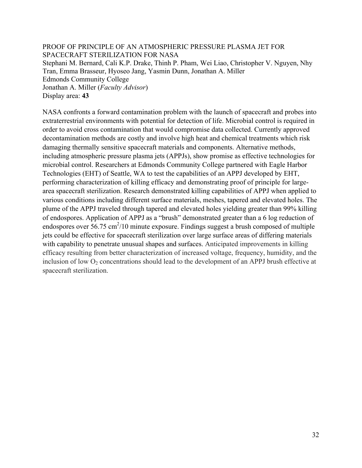PROOF OF PRINCIPLE OF AN ATMOSPHERIC PRESSURE PLASMA JET FOR SPACECRAFT STERILIZATION FOR NASA Stephani M. Bernard, Cali K.P. Drake, Thinh P. Pham, Wei Liao, Christopher V. Nguyen, Nhy Tran, Emma Brasseur, Hyoseo Jang, Yasmin Dunn, Jonathan A. Miller Edmonds Community College Jonathan A. Miller (*Faculty Advisor*) Display area: **43**

NASA confronts a forward contamination problem with the launch of spacecraft and probes into extraterrestrial environments with potential for detection of life. Microbial control is required in order to avoid cross contamination that would compromise data collected. Currently approved decontamination methods are costly and involve high heat and chemical treatments which risk damaging thermally sensitive spacecraft materials and components. Alternative methods, including atmospheric pressure plasma jets (APPJs), show promise as effective technologies for microbial control. Researchers at Edmonds Community College partnered with Eagle Harbor Technologies (EHT) of Seattle, WA to test the capabilities of an APPJ developed by EHT, performing characterization of killing efficacy and demonstrating proof of principle for largearea spacecraft sterilization. Research demonstrated killing capabilities of APPJ when applied to various conditions including different surface materials, meshes, tapered and elevated holes. The plume of the APPJ traveled through tapered and elevated holes yielding greater than 99% killing of endospores. Application of APPJ as a "brush" demonstrated greater than a 6 log reduction of endospores over 56.75  $\text{cm}^2/10$  minute exposure. Findings suggest a brush composed of multiple jets could be effective for spacecraft sterilization over large surface areas of differing materials with capability to penetrate unusual shapes and surfaces. Anticipated improvements in killing efficacy resulting from better characterization of increased voltage, frequency, humidity, and the inclusion of low  $O_2$  concentrations should lead to the development of an APPJ brush effective at spacecraft sterilization.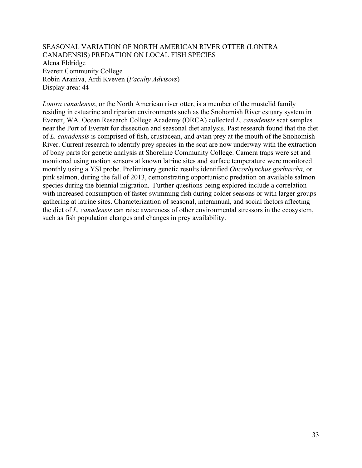SEASONAL VARIATION OF NORTH AMERICAN RIVER OTTER (LONTRA CANADENSIS) PREDATION ON LOCAL FISH SPECIES Alena Eldridge Everett Community College Robin Araniva, Ardi Kveven (*Faculty Advisors*) Display area: **44**

*Lontra canadensis*, or the North American river otter, is a member of the mustelid family residing in estuarine and riparian environments such as the Snohomish River estuary system in Everett, WA. Ocean Research College Academy (ORCA) collected *L. canadensis* scat samples near the Port of Everett for dissection and seasonal diet analysis. Past research found that the diet of *L. canadensis* is comprised of fish, crustacean, and avian prey at the mouth of the Snohomish River. Current research to identify prey species in the scat are now underway with the extraction of bony parts for genetic analysis at Shoreline Community College. Camera traps were set and monitored using motion sensors at known latrine sites and surface temperature were monitored monthly using a YSI probe. Preliminary genetic results identified *Oncorhynchus gorbuscha,* or pink salmon, during the fall of 2013, demonstrating opportunistic predation on available salmon species during the biennial migration. Further questions being explored include a correlation with increased consumption of faster swimming fish during colder seasons or with larger groups gathering at latrine sites. Characterization of seasonal, interannual, and social factors affecting the diet of *L. canadensis* can raise awareness of other environmental stressors in the ecosystem, such as fish population changes and changes in prey availability.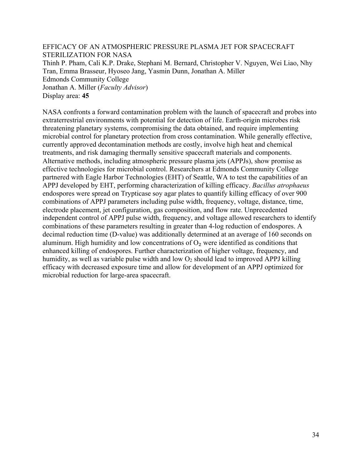EFFICACY OF AN ATMOSPHERIC PRESSURE PLASMA JET FOR SPACECRAFT STERILIZATION FOR NASA Thinh P. Pham, Cali K.P. Drake, Stephani M. Bernard, Christopher V. Nguyen, Wei Liao, Nhy Tran, Emma Brasseur, Hyoseo Jang, Yasmin Dunn, Jonathan A. Miller Edmonds Community College Jonathan A. Miller (*Faculty Advisor*) Display area: **45**

NASA confronts a forward contamination problem with the launch of spacecraft and probes into extraterrestrial environments with potential for detection of life. Earth-origin microbes risk threatening planetary systems, compromising the data obtained, and require implementing microbial control for planetary protection from cross contamination. While generally effective, currently approved decontamination methods are costly, involve high heat and chemical treatments, and risk damaging thermally sensitive spacecraft materials and components. Alternative methods, including atmospheric pressure plasma jets (APPJs), show promise as effective technologies for microbial control. Researchers at Edmonds Community College partnered with Eagle Harbor Technologies (EHT) of Seattle, WA to test the capabilities of an APPJ developed by EHT, performing characterization of killing efficacy. *Bacillus atrophaeus*  endospores were spread on Trypticase soy agar plates to quantify killing efficacy of over 900 combinations of APPJ parameters including pulse width, frequency, voltage, distance, time, electrode placement, jet configuration, gas composition, and flow rate. Unprecedented independent control of APPJ pulse width, frequency, and voltage allowed researchers to identify combinations of these parameters resulting in greater than 4-log reduction of endospores. A decimal reduction time (D-value) was additionally determined at an average of 160 seconds on aluminum. High humidity and low concentrations of  $O<sub>2</sub>$  were identified as conditions that enhanced killing of endospores. Further characterization of higher voltage, frequency, and humidity, as well as variable pulse width and low  $O_2$  should lead to improved APPJ killing efficacy with decreased exposure time and allow for development of an APPJ optimized for microbial reduction for large-area spacecraft.